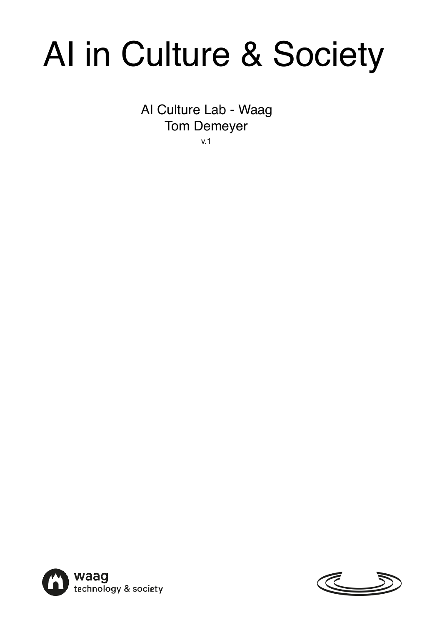# AI in Culture & Society

AI Culture Lab - Waag Tom Demeyer v.1



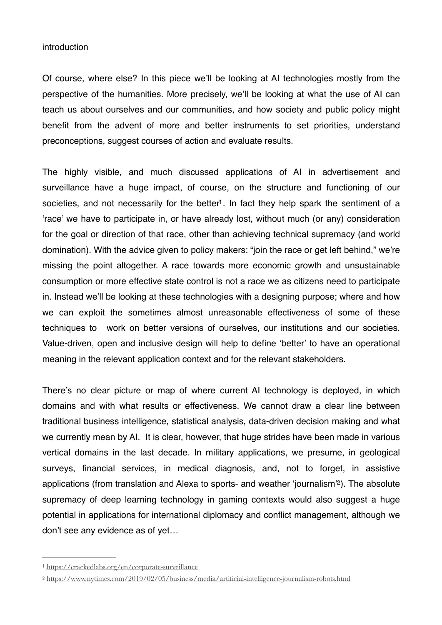# introduction

Of course, where else? In this piece we'll be looking at AI technologies mostly from the perspective of the humanities. More precisely, we'll be looking at what the use of AI can teach us about ourselves and our communities, and how society and public policy might benefit from the advent of more and better instruments to set priorities, understand preconceptions, suggest courses of action and evaluate results.

<span id="page-2-2"></span>The highly visible, and much discussed applications of AI in advertisement and surveillance have a huge impact, of course, on the structure and functioning of our societies, and not necessarily for the better<sup>[1](#page-2-0)</sup>. In fact they help spark the sentiment of a 'race' we have to participate in, or have already lost, without much (or any) consideration for the goal or direction of that race, other than achieving technical supremacy (and world domination). With the advice given to policy makers: "join the race or get left behind," we're missing the point altogether. A race towards more economic growth and unsustainable consumption or more effective state control is not a race we as citizens need to participate in. Instead we'll be looking at these technologies with a designing purpose; where and how we can exploit the sometimes almost unreasonable effectiveness of some of these techniques to work on better versions of ourselves, our institutions and our societies. Value-driven, open and inclusive design will help to define 'better' to have an operational meaning in the relevant application context and for the relevant stakeholders.

There's no clear picture or map of where current AI technology is deployed, in which domains and with what results or effectiveness. We cannot draw a clear line between traditional business intelligence, statistical analysis, data-driven decision making and what we currently mean by AI. It is clear, however, that huge strides have been made in various vertical domains in the last decade. In military applications, we presume, in geological surveys, financial services, in medical diagnosis, and, not to forget, in assistive applications (from translation and Alexa to sports- and weather 'journalism'<sup>[2](#page-2-1)</sup>). The absolute supremacy of deep learning technology in gaming contexts would also suggest a huge potential in applications for international diplomacy and conflict management, although we don't see any evidence as of yet…

<span id="page-2-3"></span><span id="page-2-0"></span>[<sup>1</sup>](#page-2-2) <https://crackedlabs.org/en/corporate-surveillance>

<span id="page-2-1"></span><https://www.nytimes.com/2019/02/05/business/media/artificial-intelligence-journalism-robots.html> [2](#page-2-3)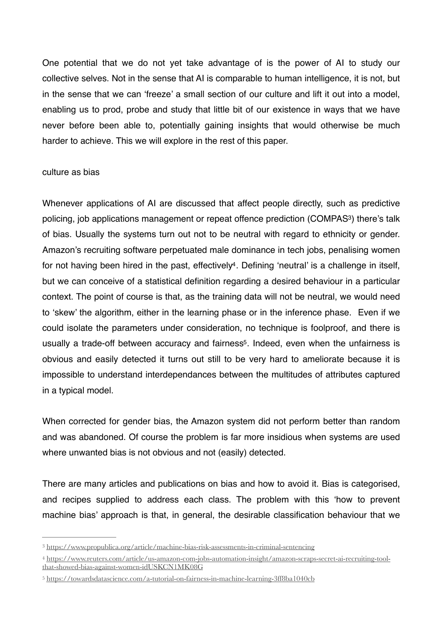One potential that we do not yet take advantage of is the power of AI to study our collective selves. Not in the sense that AI is comparable to human intelligence, it is not, but in the sense that we can 'freeze' a small section of our culture and lift it out into a model, enabling us to prod, probe and study that little bit of our existence in ways that we have never before been able to, potentially gaining insights that would otherwise be much harder to achieve. This we will explore in the rest of this paper.

### culture as bias

<span id="page-3-4"></span><span id="page-3-3"></span>Whenever applications of AI are discussed that affect people directly, such as predictive policing, job applications management or repeat offence prediction (COMPAS<sup>[3](#page-3-0)</sup>) there's talk of bias. Usually the systems turn out not to be neutral with regard to ethnicity or gender. Amazon's recruiting software perpetuated male dominance in tech jobs, penalising women for not having been hired in the past, effectively<sup>4</sup>[.](#page-3-1) Defining 'neutral' is a challenge in itself, but we can conceive of a statistical definition regarding a desired behaviour in a particular context. The point of course is that, as the training data will not be neutral, we would need to 'skew' the algorithm, either in the learning phase or in the inference phase. Even if we could isolate the parameters under consideration, no technique is foolproof, and there is usually a trade-off between accuracy and fairness<sup>[5](#page-3-2)</sup>. Indeed, even when the unfairness is obvious and easily detected it turns out still to be very hard to ameliorate because it is impossible to understand interdependances between the multitudes of attributes captured in a typical model.

<span id="page-3-5"></span>When corrected for gender bias, the Amazon system did not perform better than random and was abandoned. Of course the problem is far more insidious when systems are used where unwanted bias is not obvious and not (easily) detected.

There are many articles and publications on bias and how to avoid it. Bias is categorised, and recipes supplied to address each class. The problem with this 'how to prevent machine bias' approach is that, in general, the desirable classification behaviour that we

<span id="page-3-0"></span>[<sup>3</sup>](#page-3-3) <https://www.propublica.org/article/machine-bias-risk-assessments-in-criminal-sentencing>

<span id="page-3-1"></span>[https://www.reuters.com/article/us-amazon-com-jobs-automation-insight/amazon-scraps-secret-ai-recruiting-tool-](https://www.reuters.com/article/us-amazon-com-jobs-automation-insight/amazon-scraps-secret-ai-recruiting-tool-that-showed-bias-against-women-idUSKCN1MK08G) [4](#page-3-4) [that-showed-bias-against-women-idUSKCN1MK08G](https://www.reuters.com/article/us-amazon-com-jobs-automation-insight/amazon-scraps-secret-ai-recruiting-tool-that-showed-bias-against-women-idUSKCN1MK08G)

<span id="page-3-2"></span>[<sup>5</sup>](#page-3-5) <https://towardsdatascience.com/a-tutorial-on-fairness-in-machine-learning-3ff8ba1040cb>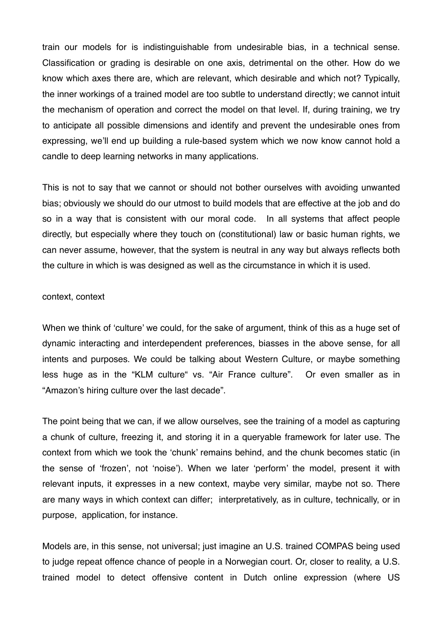train our models for is indistinguishable from undesirable bias, in a technical sense. Classification or grading is desirable on one axis, detrimental on the other. How do we know which axes there are, which are relevant, which desirable and which not? Typically, the inner workings of a trained model are too subtle to understand directly; we cannot intuit the mechanism of operation and correct the model on that level. If, during training, we try to anticipate all possible dimensions and identify and prevent the undesirable ones from expressing, we'll end up building a rule-based system which we now know cannot hold a candle to deep learning networks in many applications.

This is not to say that we cannot or should not bother ourselves with avoiding unwanted bias; obviously we should do our utmost to build models that are effective at the job and do so in a way that is consistent with our moral code. In all systems that affect people directly, but especially where they touch on (constitutional) law or basic human rights, we can never assume, however, that the system is neutral in any way but always reflects both the culture in which is was designed as well as the circumstance in which it is used.

## context, context

When we think of 'culture' we could, for the sake of argument, think of this as a huge set of dynamic interacting and interdependent preferences, biasses in the above sense, for all intents and purposes. We could be talking about Western Culture, or maybe something less huge as in the "KLM culture" vs. "Air France culture". Or even smaller as in "Amazon's hiring culture over the last decade".

The point being that we can, if we allow ourselves, see the training of a model as capturing a chunk of culture, freezing it, and storing it in a queryable framework for later use. The context from which we took the 'chunk' remains behind, and the chunk becomes static (in the sense of 'frozen', not 'noise'). When we later 'perform' the model, present it with relevant inputs, it expresses in a new context, maybe very similar, maybe not so. There are many ways in which context can differ; interpretatively, as in culture, technically, or in purpose, application, for instance.

Models are, in this sense, not universal; just imagine an U.S. trained COMPAS being used to judge repeat offence chance of people in a Norwegian court. Or, closer to reality, a U.S. trained model to detect offensive content in Dutch online expression (where US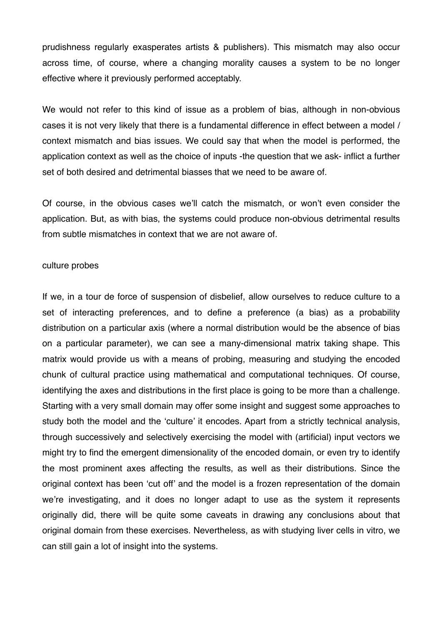prudishness regularly exasperates artists & publishers). This mismatch may also occur across time, of course, where a changing morality causes a system to be no longer effective where it previously performed acceptably.

We would not refer to this kind of issue as a problem of bias, although in non-obvious cases it is not very likely that there is a fundamental difference in effect between a model / context mismatch and bias issues. We could say that when the model is performed, the application context as well as the choice of inputs -the question that we ask- inflict a further set of both desired and detrimental biasses that we need to be aware of.

Of course, in the obvious cases we'll catch the mismatch, or won't even consider the application. But, as with bias, the systems could produce non-obvious detrimental results from subtle mismatches in context that we are not aware of.

### culture probes

If we, in a tour de force of suspension of disbelief, allow ourselves to reduce culture to a set of interacting preferences, and to define a preference (a bias) as a probability distribution on a particular axis (where a normal distribution would be the absence of bias on a particular parameter), we can see a many-dimensional matrix taking shape. This matrix would provide us with a means of probing, measuring and studying the encoded chunk of cultural practice using mathematical and computational techniques. Of course, identifying the axes and distributions in the first place is going to be more than a challenge. Starting with a very small domain may offer some insight and suggest some approaches to study both the model and the 'culture' it encodes. Apart from a strictly technical analysis, through successively and selectively exercising the model with (artificial) input vectors we might try to find the emergent dimensionality of the encoded domain, or even try to identify the most prominent axes affecting the results, as well as their distributions. Since the original context has been 'cut off' and the model is a frozen representation of the domain we're investigating, and it does no longer adapt to use as the system it represents originally did, there will be quite some caveats in drawing any conclusions about that original domain from these exercises. Nevertheless, as with studying liver cells in vitro, we can still gain a lot of insight into the systems.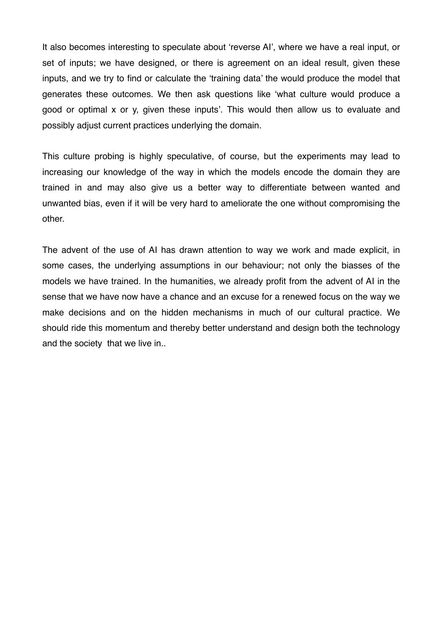It also becomes interesting to speculate about 'reverse AI', where we have a real input, or set of inputs; we have designed, or there is agreement on an ideal result, given these inputs, and we try to find or calculate the 'training data' the would produce the model that generates these outcomes. We then ask questions like 'what culture would produce a good or optimal x or y, given these inputs'. This would then allow us to evaluate and possibly adjust current practices underlying the domain.

This culture probing is highly speculative, of course, but the experiments may lead to increasing our knowledge of the way in which the models encode the domain they are trained in and may also give us a better way to differentiate between wanted and unwanted bias, even if it will be very hard to ameliorate the one without compromising the other.

The advent of the use of AI has drawn attention to way we work and made explicit, in some cases, the underlying assumptions in our behaviour; not only the biasses of the models we have trained. In the humanities, we already profit from the advent of AI in the sense that we have now have a chance and an excuse for a renewed focus on the way we make decisions and on the hidden mechanisms in much of our cultural practice. We should ride this momentum and thereby better understand and design both the technology and the society that we live in..